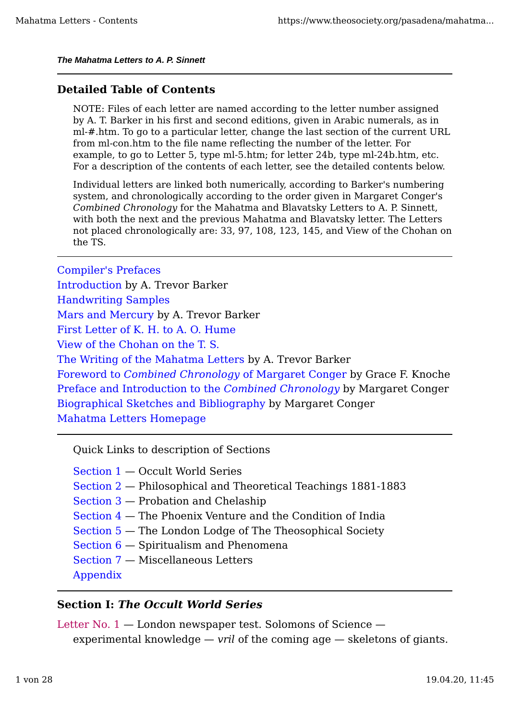#### *The Mahatma Letters to A. P. Sinnett*

### **Detailed Table of Contents**

NOTE: Files of each letter are named according to the letter number assigned by A. T. Barker in his first and second editions, given in Arabic numerals, as in ml-#.htm. To go to a particular letter, change the last section of the current URL from ml-con.htm to the file name reflecting the number of the letter. For example, to go to Letter 5, type ml-5.htm; for letter 24b, type ml-24b.htm, etc. For a description of the contents of each letter, see the detailed contents below.

Individual letters are linked both numerically, according to Barker's numbering system, and chronologically according to the order given in Margaret Conger's *Combined Chronology* for the Mahatma and Blavatsky Letters to A. P. Sinnett, with both the next and the previous Mahatma and Blavatsky letter. The Letters not placed chronologically are: 33, 97, 108, 123, 145, and View of the Chohan on the TS.

Compiler's Prefaces Introduction by A. Trevor Barker Handwriting Samples Mars and Mercury by A. Trevor Barker First Letter of K. H. to A. O. Hume View of the Chohan on the T. S. The Writing of the Mahatma Letters by A. Trevor Barker Foreword to *Combined Chronology* of Margaret Conger by Grace F. Knoche Preface and Introduction to the *Combined Chronology* by Margaret Conger Biographical Sketches and Bibliography by Margaret Conger Mahatma Letters Homepage

Quick Links to description of Sections

Section 1 — Occult World Series

Section 2 — Philosophical and Theoretical Teachings 1881-1883

Section 3 — Probation and Chelaship

Section 4 — The Phoenix Venture and the Condition of India

Section 5 — The London Lodge of The Theosophical Society

Section 6 — Spiritualism and Phenomena

Section 7 — Miscellaneous Letters

Appendix

#### **Section I:** *The Occult World Series*

Letter No. 1 — London newspaper test. Solomons of Science experimental knowledge — *vril* of the coming age — skeletons of giants.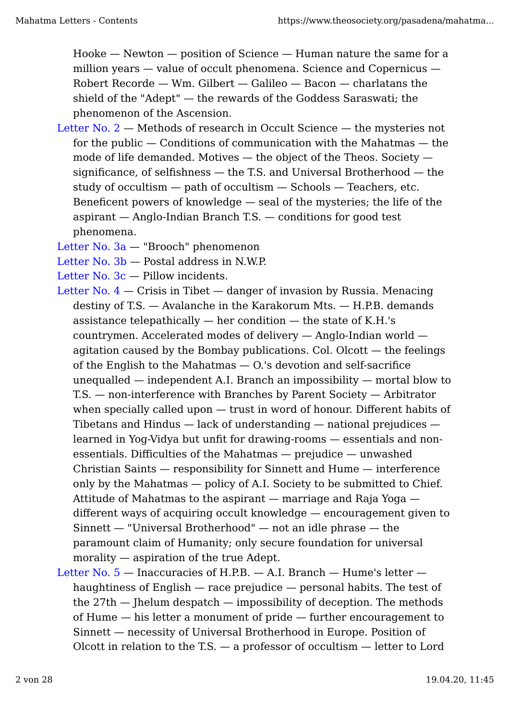Hooke — Newton — position of Science — Human nature the same for a million years — value of occult phenomena. Science and Copernicus — Robert Recorde — Wm. Gilbert — Galileo — Bacon — charlatans the shield of the "Adept" — the rewards of the Goddess Saraswati; the phenomenon of the Ascension.

Letter No. 2 — Methods of research in Occult Science — the mysteries not for the public — Conditions of communication with the Mahatmas — the mode of life demanded. Motives — the object of the Theos. Society significance, of selfishness — the T.S. and Universal Brotherhood — the study of occultism — path of occultism — Schools — Teachers, etc. Beneficent powers of knowledge — seal of the mysteries; the life of the aspirant — Anglo-Indian Branch T.S. — conditions for good test phenomena.

Letter No. 3a — "Brooch" phenomenon

Letter No. 3b — Postal address in N.W.P.

- Letter No. 3c Pillow incidents.
- Letter No.  $4 -$ Crisis in Tibet  $-$  danger of invasion by Russia. Menacing destiny of T.S. — Avalanche in the Karakorum Mts. — H.P.B. demands assistance telepathically  $-$  her condition  $-$  the state of K.H.'s countrymen. Accelerated modes of delivery — Anglo-Indian world agitation caused by the Bombay publications. Col. Olcott — the feelings of the English to the Mahatmas — O.'s devotion and self-sacrifice unequalled — independent A.I. Branch an impossibility — mortal blow to T.S. — non-interference with Branches by Parent Society — Arbitrator when specially called upon — trust in word of honour. Different habits of Tibetans and Hindus — lack of understanding — national prejudices learned in Yog-Vidya but unfit for drawing-rooms — essentials and nonessentials. Difficulties of the Mahatmas — prejudice — unwashed Christian Saints — responsibility for Sinnett and Hume — interference only by the Mahatmas — policy of A.I. Society to be submitted to Chief. Attitude of Mahatmas to the aspirant — marriage and Raja Yoga different ways of acquiring occult knowledge — encouragement given to Sinnett — "Universal Brotherhood" — not an idle phrase — the paramount claim of Humanity; only secure foundation for universal morality — aspiration of the true Adept.
- Letter No.  $5 -$  Inaccuracies of H.P.B.  $-$  A.I. Branch  $-$  Hume's letter  $$ haughtiness of English — race prejudice — personal habits. The test of the 27th — Jhelum despatch — impossibility of deception. The methods of Hume — his letter a monument of pride — further encouragement to Sinnett — necessity of Universal Brotherhood in Europe. Position of Olcott in relation to the T.S.  $-$  a professor of occultism  $-$  letter to Lord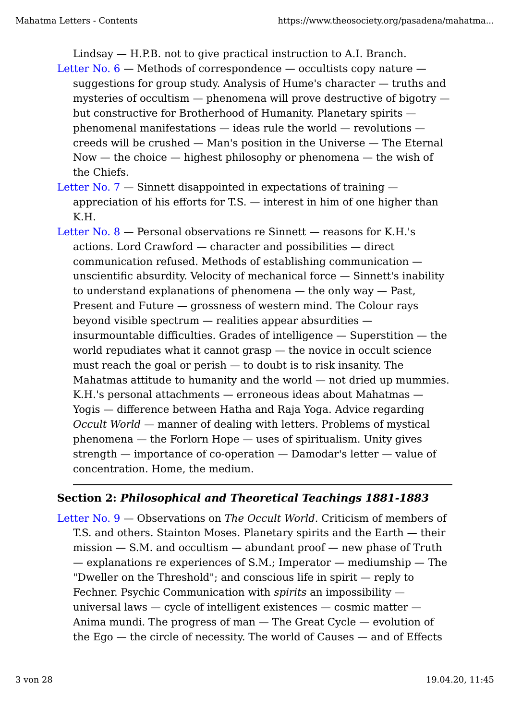Lindsay — H.P.B. not to give practical instruction to A.I. Branch.

- Letter No.  $6$  Methods of correspondence occultists copy nature suggestions for group study. Analysis of Hume's character — truths and mysteries of occultism  $-$  phenomena will prove destructive of bigotry  $$ but constructive for Brotherhood of Humanity. Planetary spirits phenomenal manifestations — ideas rule the world — revolutions creeds will be crushed — Man's position in the Universe — The Eternal  $Now - the choice - highest philosophy or phenomena - the wish of$ the Chiefs.
- Letter No.  $7$  Sinnett disappointed in expectations of training appreciation of his efforts for T.S. — interest in him of one higher than K.H.
- Letter No. 8 Personal observations re Sinnett reasons for K.H.'s actions. Lord Crawford — character and possibilities — direct communication refused. Methods of establishing communication unscientific absurdity. Velocity of mechanical force — Sinnett's inability to understand explanations of phenomena — the only way — Past, Present and Future — grossness of western mind. The Colour rays beyond visible spectrum — realities appear absurdities insurmountable difficulties. Grades of intelligence — Superstition — the world repudiates what it cannot grasp — the novice in occult science must reach the goal or perish — to doubt is to risk insanity. The Mahatmas attitude to humanity and the world — not dried up mummies. K.H.'s personal attachments — erroneous ideas about Mahatmas — Yogis — difference between Hatha and Raja Yoga. Advice regarding *Occult World* — manner of dealing with letters. Problems of mystical phenomena — the Forlorn Hope — uses of spiritualism. Unity gives strength — importance of co-operation — Damodar's letter — value of concentration. Home, the medium.

## **Section 2:** *Philosophical and Theoretical Teachings 1881-1883*

Letter No. 9 — Observations on *The Occult World.* Criticism of members of T.S. and others. Stainton Moses. Planetary spirits and the Earth — their  $mission - S.M.$  and occultism  $-$  abundant proof  $-$  new phase of Truth — explanations re experiences of S.M.; Imperator — mediumship — The "Dweller on the Threshold"; and conscious life in spirit — reply to Fechner. Psychic Communication with *spirits* an impossibility universal laws — cycle of intelligent existences — cosmic matter — Anima mundi. The progress of man — The Great Cycle — evolution of the Ego — the circle of necessity. The world of Causes — and of Effects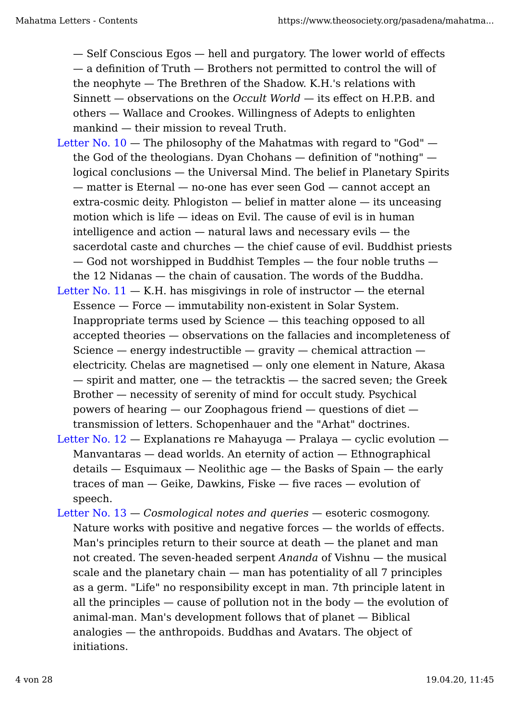— Self Conscious Egos — hell and purgatory. The lower world of effects — a definition of Truth — Brothers not permitted to control the will of the neophyte — The Brethren of the Shadow. K.H.'s relations with Sinnett — observations on the *Occult World* — its effect on H.P.B. and others — Wallace and Crookes. Willingness of Adepts to enlighten mankind — their mission to reveal Truth.

- Letter No.  $10$  The philosophy of the Mahatmas with regard to "God" the God of the theologians. Dyan Chohans — definition of "nothing" logical conclusions — the Universal Mind. The belief in Planetary Spirits — matter is Eternal — no-one has ever seen God — cannot accept an extra-cosmic deity. Phlogiston — belief in matter alone — its unceasing motion which is life — ideas on Evil. The cause of evil is in human intelligence and action — natural laws and necessary evils — the sacerdotal caste and churches — the chief cause of evil. Buddhist priests — God not worshipped in Buddhist Temples — the four noble truths the 12 Nidanas — the chain of causation. The words of the Buddha.
- Letter No.  $11 K.H$ , has misgivings in role of instructor  $-$  the eternal Essence — Force — immutability non-existent in Solar System. Inappropriate terms used by Science — this teaching opposed to all accepted theories — observations on the fallacies and incompleteness of Science  $-$  energy indestructible  $-$  gravity  $-$  chemical attraction  $$ electricity. Chelas are magnetised — only one element in Nature, Akasa — spirit and matter, one — the tetracktis — the sacred seven; the Greek Brother — necessity of serenity of mind for occult study. Psychical powers of hearing — our Zoophagous friend — questions of diet transmission of letters. Schopenhauer and the "Arhat" doctrines.
- Letter No.  $12$  Explanations re Mahayuga Pralaya cyclic evolution Manvantaras — dead worlds. An eternity of action — Ethnographical details — Esquimaux — Neolithic age — the Basks of Spain — the early traces of man — Geike, Dawkins, Fiske — five races — evolution of speech.
- Letter No. 13 *Cosmological notes and queries* esoteric cosmogony. Nature works with positive and negative forces — the worlds of effects. Man's principles return to their source at death — the planet and man not created. The seven-headed serpent *Ananda* of Vishnu — the musical scale and the planetary chain — man has potentiality of all 7 principles as a germ. "Life" no responsibility except in man. 7th principle latent in all the principles  $-$  cause of pollution not in the body  $-$  the evolution of animal-man. Man's development follows that of planet — Biblical analogies — the anthropoids. Buddhas and Avatars. The object of initiations.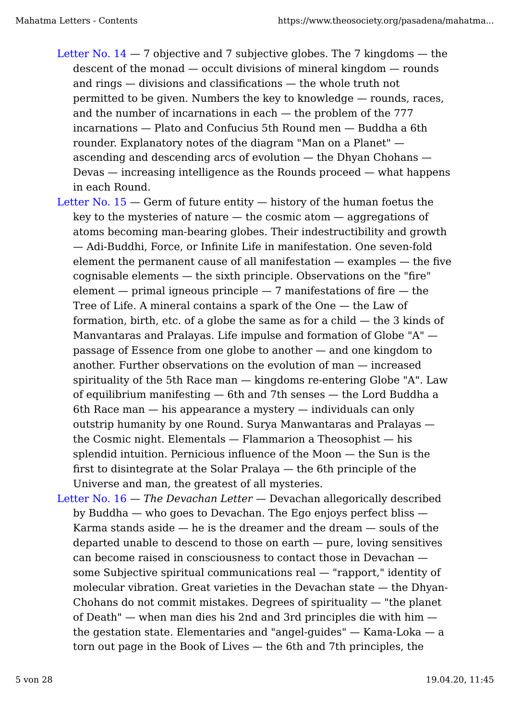- Letter No.  $14 7$  objective and 7 subjective globes. The 7 kingdoms  $-$  the descent of the monad — occult divisions of mineral kingdom — rounds and rings — divisions and classifications — the whole truth not permitted to be given. Numbers the key to knowledge — rounds, races, and the number of incarnations in each — the problem of the 777 incarnations — Plato and Confucius 5th Round men — Buddha a 6th rounder. Explanatory notes of the diagram "Man on a Planet" ascending and descending arcs of evolution — the Dhyan Chohans — Devas — increasing intelligence as the Rounds proceed — what happens in each Round.
- Letter No. 15 Germ of future entity history of the human foetus the key to the mysteries of nature  $-$  the cosmic atom  $-$  aggregations of atoms becoming man-bearing globes. Their indestructibility and growth — Adi-Buddhi, Force, or Infinite Life in manifestation. One seven-fold element the permanent cause of all manifestation — examples — the five cognisable elements — the sixth principle. Observations on the "fire" element  $-$  primal igneous principle  $-7$  manifestations of fire  $-$  the Tree of Life. A mineral contains a spark of the One — the Law of formation, birth, etc. of a globe the same as for a child  $-$  the 3 kinds of Manvantaras and Pralayas. Life impulse and formation of Globe "A" passage of Essence from one globe to another — and one kingdom to another. Further observations on the evolution of man — increased spirituality of the 5th Race man — kingdoms re-entering Globe "A". Law of equilibrium manifesting — 6th and 7th senses — the Lord Buddha a 6th Race man — his appearance a mystery — individuals can only outstrip humanity by one Round. Surya Manwantaras and Pralayas the Cosmic night. Elementals — Flammarion a Theosophist — his splendid intuition. Pernicious influence of the Moon — the Sun is the first to disintegrate at the Solar Pralaya — the 6th principle of the Universe and man, the greatest of all mysteries.
- Letter No. 16 *The Devachan Letter* Devachan allegorically described by Buddha — who goes to Devachan. The Ego enjoys perfect bliss — Karma stands aside  $-$  he is the dreamer and the dream  $-$  souls of the departed unable to descend to those on earth — pure, loving sensitives can become raised in consciousness to contact those in Devachan some Subjective spiritual communications real — "rapport," identity of molecular vibration. Great varieties in the Devachan state — the Dhyan-Chohans do not commit mistakes. Degrees of spirituality — "the planet of Death" — when man dies his 2nd and 3rd principles die with him the gestation state. Elementaries and "angel-guides" — Kama-Loka — a torn out page in the Book of Lives — the 6th and 7th principles, the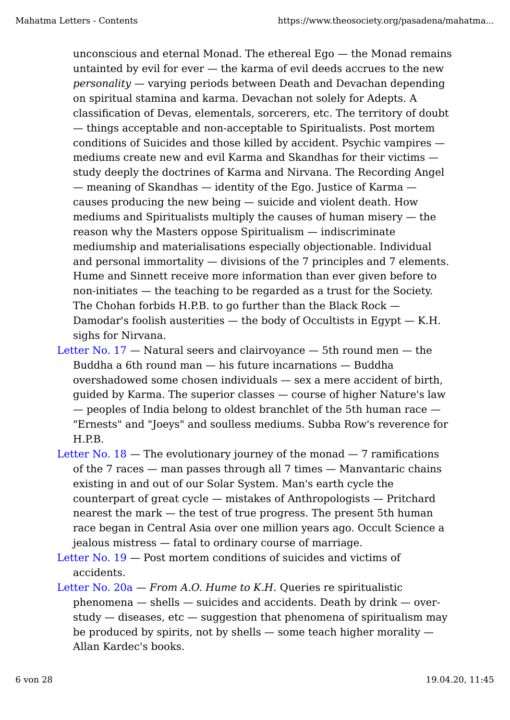unconscious and eternal Monad. The ethereal Ego — the Monad remains untainted by evil for ever — the karma of evil deeds accrues to the new *personality* — varying periods between Death and Devachan depending on spiritual stamina and karma. Devachan not solely for Adepts. A classification of Devas, elementals, sorcerers, etc. The territory of doubt — things acceptable and non-acceptable to Spiritualists. Post mortem conditions of Suicides and those killed by accident. Psychic vampires mediums create new and evil Karma and Skandhas for their victims study deeply the doctrines of Karma and Nirvana. The Recording Angel — meaning of Skandhas — identity of the Ego. Justice of Karma causes producing the new being — suicide and violent death. How mediums and Spiritualists multiply the causes of human misery — the reason why the Masters oppose Spiritualism — indiscriminate mediumship and materialisations especially objectionable. Individual and personal immortality — divisions of the 7 principles and 7 elements. Hume and Sinnett receive more information than ever given before to non-initiates — the teaching to be regarded as a trust for the Society. The Chohan forbids H.P.B. to go further than the Black Rock — Damodar's foolish austerities  $-$  the body of Occultists in Egypt  $-$  K.H. sighs for Nirvana.

- Letter No.  $17$  Natural seers and clairvoyance 5th round men the Buddha a 6th round man — his future incarnations — Buddha overshadowed some chosen individuals — sex a mere accident of birth, guided by Karma. The superior classes — course of higher Nature's law — peoples of India belong to oldest branchlet of the 5th human race — "Ernests" and "Joeys" and soulless mediums. Subba Row's reverence for H.P.B.
- Letter No.  $18$  The evolutionary journey of the monad 7 ramifications of the 7 races — man passes through all 7 times — Manvantaric chains existing in and out of our Solar System. Man's earth cycle the counterpart of great cycle — mistakes of Anthropologists — Pritchard nearest the mark — the test of true progress. The present 5th human race began in Central Asia over one million years ago. Occult Science a jealous mistress — fatal to ordinary course of marriage.
- Letter No. 19 Post mortem conditions of suicides and victims of accidents.
- Letter No. 20a *From A.O. Hume to K.H.* Queries re spiritualistic phenomena — shells — suicides and accidents. Death by drink — overstudy  $-$  diseases, etc  $-$  suggestion that phenomena of spiritualism may be produced by spirits, not by shells  $-$  some teach higher morality  $-$ Allan Kardec's books.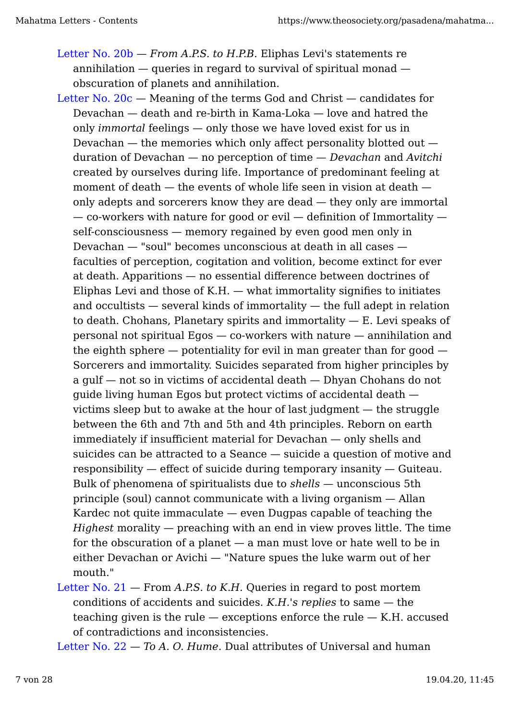- Letter No. 20b *From A.P.S. to H.P.B.* Eliphas Levi's statements re annihilation — queries in regard to survival of spiritual monad obscuration of planets and annihilation.
- Letter No.  $20c$  Meaning of the terms God and Christ candidates for Devachan — death and re-birth in Kama-Loka — love and hatred the only *immortal* feelings — only those we have loved exist for us in Devachan  $-$  the memories which only affect personality blotted out  $$ duration of Devachan — no perception of time — *Devachan* and *Avitchi* created by ourselves during life. Importance of predominant feeling at moment of death — the events of whole life seen in vision at death only adepts and sorcerers know they are dead — they only are immortal  $-$  co-workers with nature for good or evil  $-$  definition of Immortality  $$ self-consciousness — memory regained by even good men only in Devachan — "soul" becomes unconscious at death in all cases faculties of perception, cogitation and volition, become extinct for ever at death. Apparitions — no essential difference between doctrines of Eliphas Levi and those of K.H.  $-$  what immortality signifies to initiates and occultists — several kinds of immortality — the full adept in relation to death. Chohans, Planetary spirits and immortality  $- E$ . Levi speaks of personal not spiritual Egos — co-workers with nature — annihilation and the eighth sphere  $-$  potentiality for evil in man greater than for good  $-$ Sorcerers and immortality. Suicides separated from higher principles by a gulf — not so in victims of accidental death — Dhyan Chohans do not guide living human Egos but protect victims of accidental death victims sleep but to awake at the hour of last judgment — the struggle between the 6th and 7th and 5th and 4th principles. Reborn on earth immediately if insufficient material for Devachan — only shells and suicides can be attracted to a Seance — suicide a question of motive and responsibility — effect of suicide during temporary insanity — Guiteau. Bulk of phenomena of spiritualists due to *shells* — unconscious 5th principle (soul) cannot communicate with a living organism — Allan Kardec not quite immaculate  $-$  even Dugpas capable of teaching the *Highest* morality — preaching with an end in view proves little. The time for the obscuration of a planet  $-$  a man must love or hate well to be in either Devachan or Avichi — "Nature spues the luke warm out of her mouth."
- Letter No. 21 From *A.P.S. to K.H.* Queries in regard to post mortem conditions of accidents and suicides. *K.H.'s replies* to same — the teaching given is the rule  $-$  exceptions enforce the rule  $-$  K.H. accused of contradictions and inconsistencies.

Letter No. 22 — *To A. O. Hume*. Dual attributes of Universal and human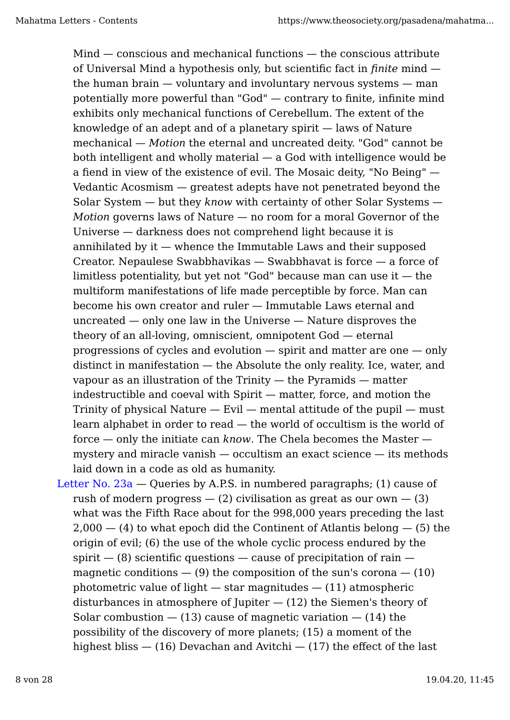Mind — conscious and mechanical functions — the conscious attribute of Universal Mind a hypothesis only, but scientific fact in *finite* mind the human brain — voluntary and involuntary nervous systems — man potentially more powerful than "God" — contrary to finite, infinite mind exhibits only mechanical functions of Cerebellum. The extent of the knowledge of an adept and of a planetary spirit — laws of Nature mechanical — *Motion* the eternal and uncreated deity. "God" cannot be both intelligent and wholly material — a God with intelligence would be a fiend in view of the existence of evil. The Mosaic deity, "No Being" — Vedantic Acosmism — greatest adepts have not penetrated beyond the Solar System — but they *know* with certainty of other Solar Systems — *Motion* governs laws of Nature — no room for a moral Governor of the Universe — darkness does not comprehend light because it is annihilated by it — whence the Immutable Laws and their supposed Creator. Nepaulese Swabbhavikas — Swabbhavat is force — a force of limitless potentiality, but yet not "God" because man can use it  $-$  the multiform manifestations of life made perceptible by force. Man can become his own creator and ruler — Immutable Laws eternal and uncreated — only one law in the Universe — Nature disproves the theory of an all-loving, omniscient, omnipotent God — eternal progressions of cycles and evolution — spirit and matter are one — only distinct in manifestation — the Absolute the only reality. Ice, water, and vapour as an illustration of the Trinity — the Pyramids — matter indestructible and coeval with Spirit — matter, force, and motion the Trinity of physical Nature  $-$  Evil  $-$  mental attitude of the pupil  $-$  must learn alphabet in order to read — the world of occultism is the world of force — only the initiate can *know*. The Chela becomes the Master mystery and miracle vanish — occultism an exact science — its methods laid down in a code as old as humanity.

Letter No.  $23a -$ Queries by A.P.S. in numbered paragraphs; (1) cause of rush of modern progress  $-$  (2) civilisation as great as our own  $-$  (3) what was the Fifth Race about for the 998,000 years preceding the last  $2,000 - (4)$  to what epoch did the Continent of Atlantis belong  $- (5)$  the origin of evil; (6) the use of the whole cyclic process endured by the spirit  $-$  (8) scientific questions  $-$  cause of precipitation of rain  $$ magnetic conditions  $-$  (9) the composition of the sun's corona  $-$  (10) photometric value of light  $-$  star magnitudes  $-$  (11) atmospheric disturbances in atmosphere of Jupiter  $-$  (12) the Siemen's theory of Solar combustion  $-$  (13) cause of magnetic variation  $-$  (14) the possibility of the discovery of more planets; (15) a moment of the highest bliss  $-$  (16) Devachan and Avitchi  $-$  (17) the effect of the last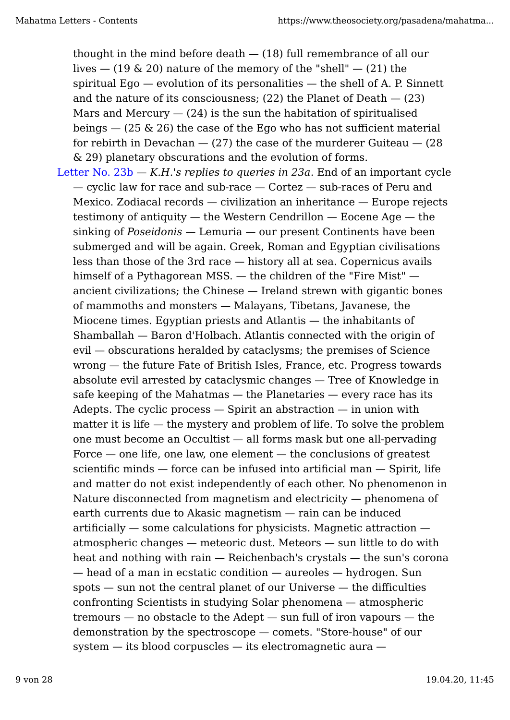thought in the mind before death  $-$  (18) full remembrance of all our lives  $-$  (19 & 20) nature of the memory of the "shell"  $-$  (21) the spiritual  $Eqo$  — evolution of its personalities — the shell of A. P. Sinnett and the nature of its consciousness;  $(22)$  the Planet of Death  $- (23)$ Mars and Mercury  $-$  (24) is the sun the habitation of spiritualised beings  $-$  (25 & 26) the case of the Ego who has not sufficient material for rebirth in Devachan  $-$  (27) the case of the murderer Guiteau  $-$  (28) & 29) planetary obscurations and the evolution of forms.

Letter No. 23b — *K.H.'s replies to queries in 23a*. End of an important cycle — cyclic law for race and sub-race — Cortez — sub-races of Peru and Mexico. Zodiacal records — civilization an inheritance — Europe rejects testimony of antiquity — the Western Cendrillon — Eocene Age — the sinking of *Poseidonis* — Lemuria — our present Continents have been submerged and will be again. Greek, Roman and Egyptian civilisations less than those of the 3rd race — history all at sea. Copernicus avails himself of a Pythagorean MSS. — the children of the "Fire Mist" ancient civilizations; the Chinese — Ireland strewn with gigantic bones of mammoths and monsters — Malayans, Tibetans, Javanese, the Miocene times. Egyptian priests and Atlantis — the inhabitants of Shamballah — Baron d'Holbach. Atlantis connected with the origin of evil — obscurations heralded by cataclysms; the premises of Science wrong — the future Fate of British Isles, France, etc. Progress towards absolute evil arrested by cataclysmic changes — Tree of Knowledge in safe keeping of the Mahatmas — the Planetaries — every race has its Adepts. The cyclic process  $-$  Spirit an abstraction  $-$  in union with matter it is life — the mystery and problem of life. To solve the problem one must become an Occultist — all forms mask but one all-pervading Force  $-$  one life, one law, one element  $-$  the conclusions of greatest scientific minds — force can be infused into artificial man — Spirit, life and matter do not exist independently of each other. No phenomenon in Nature disconnected from magnetism and electricity — phenomena of earth currents due to Akasic magnetism — rain can be induced artificially — some calculations for physicists. Magnetic attraction atmospheric changes — meteoric dust. Meteors — sun little to do with heat and nothing with rain — Reichenbach's crystals — the sun's corona — head of a man in ecstatic condition — aureoles — hydrogen. Sun spots — sun not the central planet of our Universe — the difficulties confronting Scientists in studying Solar phenomena — atmospheric tremours — no obstacle to the Adept — sun full of iron vapours — the demonstration by the spectroscope — comets. "Store-house" of our system — its blood corpuscles — its electromagnetic aura —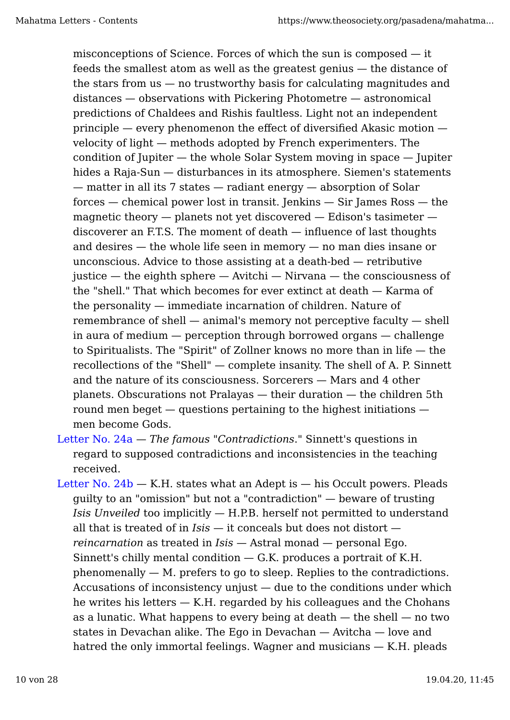misconceptions of Science. Forces of which the sun is composed — it feeds the smallest atom as well as the greatest genius — the distance of the stars from  $us - no$  trustworthy basis for calculating magnitudes and distances — observations with Pickering Photometre — astronomical predictions of Chaldees and Rishis faultless. Light not an independent principle — every phenomenon the effect of diversified Akasic motion velocity of light — methods adopted by French experimenters. The condition of Jupiter — the whole Solar System moving in space — Jupiter hides a Raja-Sun — disturbances in its atmosphere. Siemen's statements — matter in all its 7 states — radiant energy — absorption of Solar forces — chemical power lost in transit. Jenkins — Sir James Ross — the magnetic theory — planets not yet discovered — Edison's tasimeter discoverer an F.T.S. The moment of death — influence of last thoughts and desires — the whole life seen in memory — no man dies insane or unconscious. Advice to those assisting at a death-bed — retributive justice — the eighth sphere — Avitchi — Nirvana — the consciousness of the "shell." That which becomes for ever extinct at death — Karma of the personality — immediate incarnation of children. Nature of remembrance of shell — animal's memory not perceptive faculty — shell in aura of medium — perception through borrowed organs — challenge to Spiritualists. The "Spirit" of Zollner knows no more than in life — the recollections of the "Shell" — complete insanity. The shell of A. P. Sinnett and the nature of its consciousness. Sorcerers — Mars and 4 other planets. Obscurations not Pralayas — their duration — the children 5th round men beget  $-$  questions pertaining to the highest initiations  $$ men become Gods.

Letter No. 24a — *The famous "Contradictions*." Sinnett's questions in regard to supposed contradictions and inconsistencies in the teaching received.

Letter No.  $24b - K.H.$  states what an Adept is  $-$  his Occult powers. Pleads guilty to an "omission" but not a "contradiction" — beware of trusting *Isis Unveiled* too implicitly — H.P.B. herself not permitted to understand all that is treated of in *Isis* — it conceals but does not distort *reincarnation* as treated in *Isis* — Astral monad — personal Ego. Sinnett's chilly mental condition  $-$  G.K. produces a portrait of K.H. phenomenally — M. prefers to go to sleep. Replies to the contradictions. Accusations of inconsistency unjust  $-$  due to the conditions under which he writes his letters  $-$  K.H. regarded by his colleagues and the Chohans as a lunatic. What happens to every being at death  $-$  the shell  $-$  no two states in Devachan alike. The Ego in Devachan — Avitcha — love and hatred the only immortal feelings. Wagner and musicians — K.H. pleads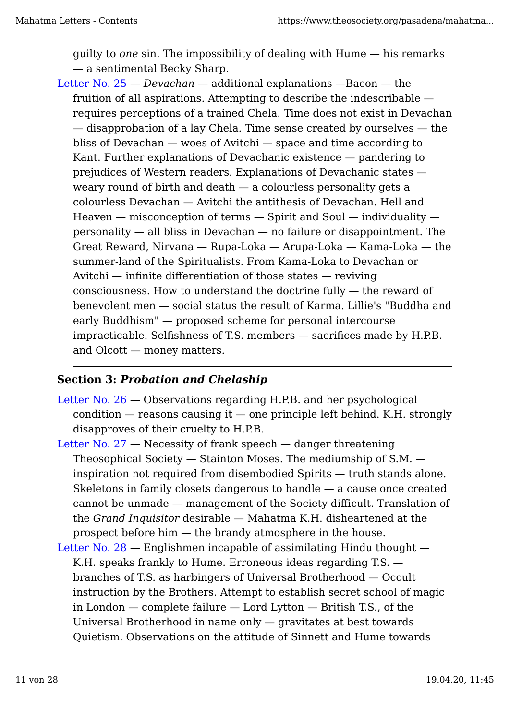guilty to *one* sin. The impossibility of dealing with Hume — his remarks — a sentimental Becky Sharp.

Letter No. 25 — *Devachan* — additional explanations —Bacon — the fruition of all aspirations. Attempting to describe the indescribable requires perceptions of a trained Chela. Time does not exist in Devachan — disapprobation of a lay Chela. Time sense created by ourselves — the bliss of Devachan — woes of Avitchi — space and time according to Kant. Further explanations of Devachanic existence — pandering to prejudices of Western readers. Explanations of Devachanic states weary round of birth and death — a colourless personality gets a colourless Devachan — Avitchi the antithesis of Devachan. Hell and Heaven — misconception of terms — Spirit and Soul — individuality personality — all bliss in Devachan — no failure or disappointment. The Great Reward, Nirvana — Rupa-Loka — Arupa-Loka — Kama-Loka — the summer-land of the Spiritualists. From Kama-Loka to Devachan or Avitchi — infinite differentiation of those states — reviving consciousness. How to understand the doctrine fully — the reward of benevolent men — social status the result of Karma. Lillie's "Buddha and early Buddhism" — proposed scheme for personal intercourse impracticable. Selfishness of T.S. members — sacrifices made by H.P.B. and Olcott — money matters.

## **Section 3:** *Probation and Chelaship*

- Letter No. 26 Observations regarding H.P.B. and her psychological  $condition - reasons causing it - one principle left behind. K.H. strongly$ disapproves of their cruelty to H.P.B.
- Letter No. 27 Necessity of frank speech danger threatening Theosophical Society — Stainton Moses. The mediumship of S.M. inspiration not required from disembodied Spirits — truth stands alone. Skeletons in family closets dangerous to handle — a cause once created cannot be unmade — management of the Society difficult. Translation of the *Grand Inquisitor* desirable — Mahatma K.H. disheartened at the prospect before him — the brandy atmosphere in the house.
- Letter No. 28 Englishmen incapable of assimilating Hindu thought K.H. speaks frankly to Hume. Erroneous ideas regarding T.S. branches of T.S. as harbingers of Universal Brotherhood — Occult instruction by the Brothers. Attempt to establish secret school of magic in London — complete failure — Lord Lytton — British T.S., of the Universal Brotherhood in name only — gravitates at best towards Quietism. Observations on the attitude of Sinnett and Hume towards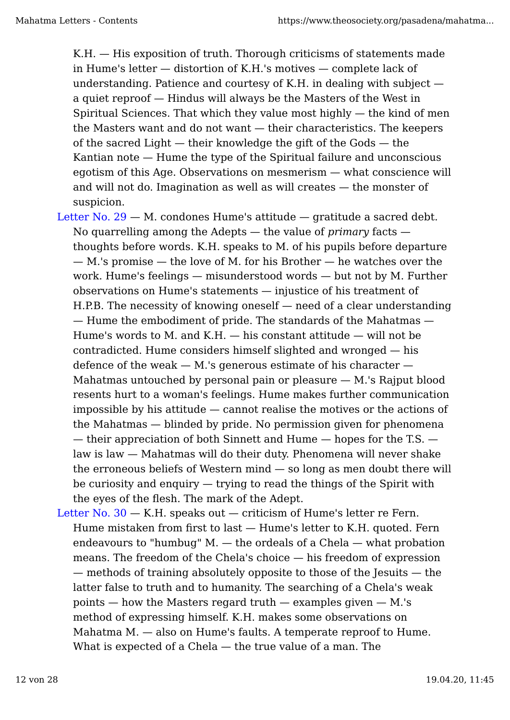K.H. — His exposition of truth. Thorough criticisms of statements made in Hume's letter — distortion of K.H.'s motives — complete lack of understanding. Patience and courtesy of K.H. in dealing with subject a quiet reproof — Hindus will always be the Masters of the West in Spiritual Sciences. That which they value most highly — the kind of men the Masters want and do not want — their characteristics. The keepers of the sacred Light — their knowledge the gift of the Gods — the Kantian note — Hume the type of the Spiritual failure and unconscious egotism of this Age. Observations on mesmerism — what conscience will and will not do. Imagination as well as will creates — the monster of suspicion.

- Letter No. 29 M. condones Hume's attitude gratitude a sacred debt. No quarrelling among the Adepts — the value of *primary* facts thoughts before words. K.H. speaks to M. of his pupils before departure — M.'s promise — the love of M. for his Brother — he watches over the work. Hume's feelings — misunderstood words — but not by M. Further observations on Hume's statements — injustice of his treatment of H.P.B. The necessity of knowing oneself — need of a clear understanding — Hume the embodiment of pride. The standards of the Mahatmas — Hume's words to M. and K.H. — his constant attitude — will not be contradicted. Hume considers himself slighted and wronged — his defence of the weak  $-$  M.'s generous estimate of his character  $-$ Mahatmas untouched by personal pain or pleasure — M.'s Rajput blood resents hurt to a woman's feelings. Hume makes further communication impossible by his attitude — cannot realise the motives or the actions of the Mahatmas — blinded by pride. No permission given for phenomena — their appreciation of both Sinnett and Hume — hopes for the T.S. law is law — Mahatmas will do their duty. Phenomena will never shake the erroneous beliefs of Western mind — so long as men doubt there will be curiosity and enquiry — trying to read the things of the Spirit with the eyes of the flesh. The mark of the Adept.
- Letter No.  $30 K.H.$  speaks out  $-$  criticism of Hume's letter re Fern. Hume mistaken from first to last — Hume's letter to K.H. quoted. Fern endeavours to "humbug"  $M.$  — the ordeals of a Chela — what probation means. The freedom of the Chela's choice — his freedom of expression — methods of training absolutely opposite to those of the Jesuits — the latter false to truth and to humanity. The searching of a Chela's weak points  $-$  how the Masters regard truth  $-$  examples given  $-$  M.'s method of expressing himself. K.H. makes some observations on Mahatma M. — also on Hume's faults. A temperate reproof to Hume. What is expected of a Chela — the true value of a man. The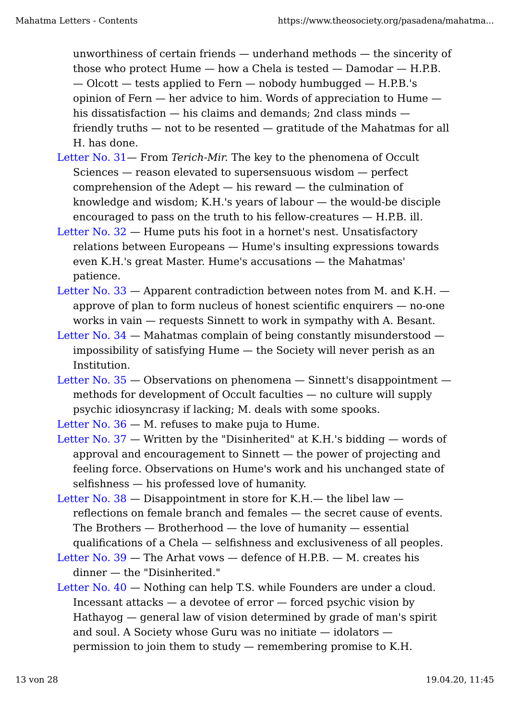unworthiness of certain friends — underhand methods — the sincerity of those who protect Hume — how a Chela is tested — Damodar — H.P.B. — Olcott — tests applied to Fern — nobody humbugged — H.P.B.'s opinion of Fern — her advice to him. Words of appreciation to Hume his dissatisfaction — his claims and demands; 2nd class minds friendly truths — not to be resented — gratitude of the Mahatmas for all H. has done.

- Letter No. 31— From *Terich-Mir.* The key to the phenomena of Occult Sciences — reason elevated to supersensuous wisdom — perfect comprehension of the Adept — his reward — the culmination of knowledge and wisdom; K.H.'s years of labour — the would-be disciple encouraged to pass on the truth to his fellow-creatures — H.P.B. ill.
- Letter No. 32 Hume puts his foot in a hornet's nest. Unsatisfactory relations between Europeans — Hume's insulting expressions towards even K.H.'s great Master. Hume's accusations — the Mahatmas' patience.
- Letter No.  $33$  Apparent contradiction between notes from M. and K.H. approve of plan to form nucleus of honest scientific enquirers — no-one works in vain — requests Sinnett to work in sympathy with A. Besant.
- Letter No. 34 Mahatmas complain of being constantly misunderstood impossibility of satisfying Hume — the Society will never perish as an Institution.
- Letter No. 35 Observations on phenomena Sinnett's disappointment methods for development of Occult faculties — no culture will supply psychic idiosyncrasy if lacking; M. deals with some spooks.

Letter No.  $36 - M$ . refuses to make puja to Hume.

- Letter No.  $37$  Written by the "Disinherited" at K.H.'s bidding words of approval and encouragement to Sinnett — the power of projecting and feeling force. Observations on Hume's work and his unchanged state of selfishness — his professed love of humanity.
- Letter No.  $38 -$ Disappointment in store for K.H.— the libel law reflections on female branch and females — the secret cause of events. The Brothers — Brotherhood — the love of humanity — essential qualifications of a Chela — selfishness and exclusiveness of all peoples.
- Letter No.  $39$  The Arhat vows defence of H.P.B. M. creates his dinner — the "Disinherited."
- Letter No. 40 Nothing can help T.S. while Founders are under a cloud. Incessant attacks  $-$  a devotee of error  $-$  forced psychic vision by Hathayog — general law of vision determined by grade of man's spirit and soul. A Society whose Guru was no initiate — idolators permission to join them to study — remembering promise to K.H.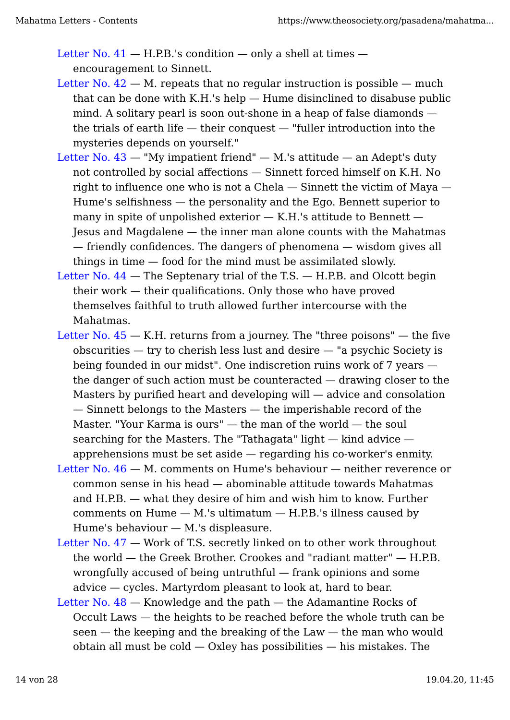Letter No.  $41 - H.P.B.'s$  condition  $-$  only a shell at times  $$ encouragement to Sinnett.

- Letter No.  $42 M$ . repeats that no regular instruction is possible  $-$  much that can be done with K.H.'s help — Hume disinclined to disabuse public mind. A solitary pearl is soon out-shone in a heap of false diamonds the trials of earth life — their conquest — "fuller introduction into the mysteries depends on yourself."
- Letter No. 43 "My impatient friend" M.'s attitude an Adept's duty not controlled by social affections — Sinnett forced himself on K.H. No right to influence one who is not a Chela — Sinnett the victim of Maya — Hume's selfishness — the personality and the Ego. Bennett superior to many in spite of unpolished exterior  $-$  K.H.'s attitude to Bennett  $-$ Jesus and Magdalene — the inner man alone counts with the Mahatmas — friendly confidences. The dangers of phenomena — wisdom gives all things in time — food for the mind must be assimilated slowly.
- Letter No.  $44$  The Septenary trial of the T.S. H.P.B. and Olcott begin their work — their qualifications. Only those who have proved themselves faithful to truth allowed further intercourse with the Mahatmas.
- Letter No.  $45 K.H$ . returns from a journey. The "three poisons"  $-$  the five obscurities — try to cherish less lust and desire — "a psychic Society is being founded in our midst". One indiscretion ruins work of 7 years the danger of such action must be counteracted — drawing closer to the Masters by purified heart and developing will — advice and consolation — Sinnett belongs to the Masters — the imperishable record of the Master. "Your Karma is ours" — the man of the world — the soul searching for the Masters. The "Tathagata" light — kind advice apprehensions must be set aside — regarding his co-worker's enmity.
- Letter No. 46 M. comments on Hume's behaviour neither reverence or common sense in his head — abominable attitude towards Mahatmas and H.P.B. — what they desire of him and wish him to know. Further comments on  $H$ ume  $-$  M.'s ultimatum  $-$  H.P.B.'s illness caused by Hume's behaviour — M.'s displeasure.
- Letter No. 47 Work of T.S. secretly linked on to other work throughout the world — the Greek Brother. Crookes and "radiant matter" — H.P.B. wrongfully accused of being untruthful — frank opinions and some advice — cycles. Martyrdom pleasant to look at, hard to bear.
- Letter No. 48 Knowledge and the path the Adamantine Rocks of Occult Laws — the heights to be reached before the whole truth can be seen — the keeping and the breaking of the Law — the man who would obtain all must be  $\text{cold} - \text{Ox}$  has possibilities  $-$  his mistakes. The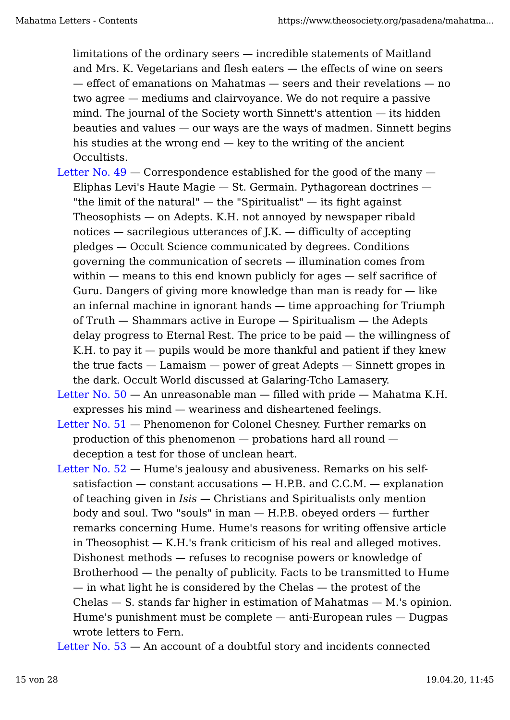limitations of the ordinary seers — incredible statements of Maitland and Mrs. K. Vegetarians and flesh eaters — the effects of wine on seers — effect of emanations on Mahatmas — seers and their revelations — no two agree — mediums and clairvoyance. We do not require a passive mind. The journal of the Society worth Sinnett's attention — its hidden beauties and values — our ways are the ways of madmen. Sinnett begins his studies at the wrong end  $-$  key to the writing of the ancient Occultists.

- Letter No.  $49$  Correspondence established for the good of the many Eliphas Levi's Haute Magie — St. Germain. Pythagorean doctrines — "the limit of the natural"  $-$  the "Spiritualist"  $-$  its fight against Theosophists — on Adepts. K.H. not annoyed by newspaper ribald notices — sacrilegious utterances of J.K. — difficulty of accepting pledges — Occult Science communicated by degrees. Conditions governing the communication of secrets — illumination comes from within — means to this end known publicly for ages — self sacrifice of Guru. Dangers of giving more knowledge than man is ready for  $-$  like an infernal machine in ignorant hands — time approaching for Triumph of Truth — Shammars active in Europe — Spiritualism — the Adepts delay progress to Eternal Rest. The price to be paid — the willingness of K.H. to pay it  $-$  pupils would be more thankful and patient if they knew the true facts — Lamaism — power of great Adepts — Sinnett gropes in the dark. Occult World discussed at Galaring-Tcho Lamasery.
- Letter No.  $50 An$  unreasonable man  $-$  filled with pride  $-$  Mahatma K.H. expresses his mind — weariness and disheartened feelings.
- Letter No. 51 Phenomenon for Colonel Chesney. Further remarks on production of this phenomenon — probations hard all round deception a test for those of unclean heart.
- Letter No. 52 Hume's jealousy and abusiveness. Remarks on his selfsatisfaction  $-$  constant accusations  $-$  H.P.B. and C.C.M.  $-$  explanation of teaching given in *Isis* — Christians and Spiritualists only mention body and soul. Two "souls" in man — H.P.B. obeyed orders — further remarks concerning Hume. Hume's reasons for writing offensive article in Theosophist — K.H.'s frank criticism of his real and alleged motives. Dishonest methods — refuses to recognise powers or knowledge of Brotherhood — the penalty of publicity. Facts to be transmitted to Hume — in what light he is considered by the Chelas — the protest of the  $Chelas - S.$  stands far higher in estimation of Mahatmas  $- M.$ 's opinion. Hume's punishment must be complete — anti-European rules — Dugpas wrote letters to Fern.

Letter No. 53 — An account of a doubtful story and incidents connected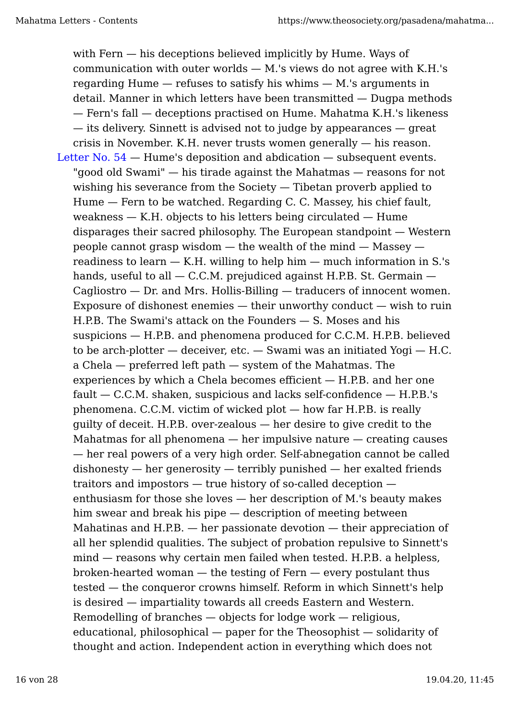with Fern — his deceptions believed implicitly by Hume. Ways of communication with outer worlds — M.'s views do not agree with K.H.'s regarding Hume — refuses to satisfy his whims — M.'s arguments in detail. Manner in which letters have been transmitted — Dugpa methods — Fern's fall — deceptions practised on Hume. Mahatma K.H.'s likeness — its delivery. Sinnett is advised not to judge by appearances — great crisis in November. K.H. never trusts women generally — his reason. Letter No. 54 — Hume's deposition and abdication — subsequent events. "good old Swami" — his tirade against the Mahatmas — reasons for not wishing his severance from the Society — Tibetan proverb applied to Hume — Fern to be watched. Regarding C. C. Massey, his chief fault, weakness  $-$  K.H. objects to his letters being circulated  $-$  Hume disparages their sacred philosophy. The European standpoint — Western people cannot grasp wisdom  $-$  the wealth of the mind  $-$  Massey  $$ readiness to learn — K.H. willing to help him — much information in S.'s hands, useful to all  $-$  C.C.M. prejudiced against H.P.B. St. Germain  $-$ Cagliostro — Dr. and Mrs. Hollis-Billing — traducers of innocent women. Exposure of dishonest enemies  $-$  their unworthy conduct  $-$  wish to ruin H.P.B. The Swami's attack on the Founders — S. Moses and his suspicions — H.P.B. and phenomena produced for C.C.M. H.P.B. believed to be arch-plotter — deceiver, etc. — Swami was an initiated Yogi — H.C. a Chela — preferred left path — system of the Mahatmas. The experiences by which a Chela becomes efficient — H.P.B. and her one fault — C.C.M. shaken, suspicious and lacks self-confidence — H.P.B.'s phenomena. C.C.M. victim of wicked plot — how far H.P.B. is really guilty of deceit. H.P.B. over-zealous — her desire to give credit to the Mahatmas for all phenomena — her impulsive nature — creating causes — her real powers of a very high order. Self-abnegation cannot be called dishonesty — her generosity — terribly punished — her exalted friends traitors and impostors — true history of so-called deception enthusiasm for those she loves — her description of M.'s beauty makes him swear and break his pipe — description of meeting between Mahatinas and H.P.B.  $-$  her passionate devotion  $-$  their appreciation of all her splendid qualities. The subject of probation repulsive to Sinnett's mind — reasons why certain men failed when tested. H.P.B. a helpless, broken-hearted woman — the testing of Fern — every postulant thus tested — the conqueror crowns himself. Reform in which Sinnett's help is desired — impartiality towards all creeds Eastern and Western. Remodelling of branches — objects for lodge work — religious, educational, philosophical — paper for the Theosophist — solidarity of thought and action. Independent action in everything which does not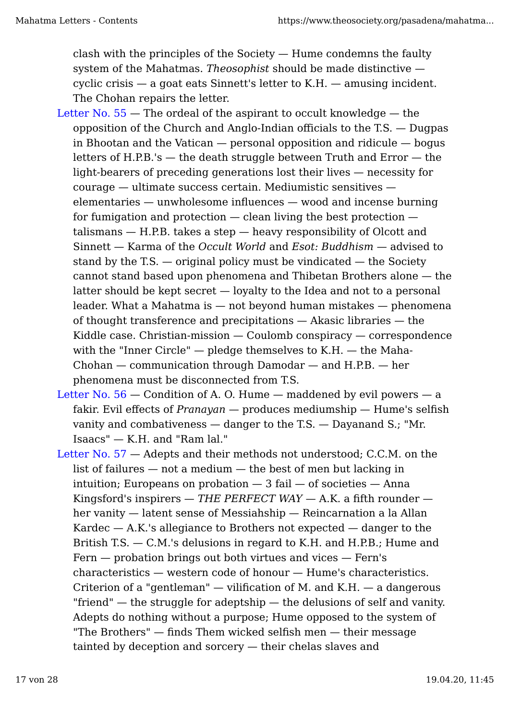clash with the principles of the Society — Hume condemns the faulty system of the Mahatmas. *Theosophist* should be made distinctive cyclic crisis — a goat eats Sinnett's letter to K.H. — amusing incident. The Chohan repairs the letter.

- Letter No.  $55$  The ordeal of the aspirant to occult knowledge the opposition of the Church and Anglo-Indian officials to the T.S. — Dugpas in Bhootan and the Vatican  $-$  personal opposition and ridicule  $-$  bogus letters of H.P.B.'s  $-$  the death struggle between Truth and Error  $-$  the light-bearers of preceding generations lost their lives — necessity for courage — ultimate success certain. Mediumistic sensitives elementaries — unwholesome influences — wood and incense burning for fumigation and protection  $-$  clean living the best protection  $$ talismans — H.P.B. takes a step — heavy responsibility of Olcott and Sinnett — Karma of the *Occult World* and *Esot: Buddhism* — advised to stand by the T.S. — original policy must be vindicated — the Society cannot stand based upon phenomena and Thibetan Brothers alone — the latter should be kept secret — loyalty to the Idea and not to a personal leader. What a Mahatma is — not beyond human mistakes — phenomena of thought transference and precipitations — Akasic libraries — the Kiddle case. Christian-mission — Coulomb conspiracy — correspondence with the "Inner Circle" — pledge themselves to K.H. — the Maha-Chohan — communication through Damodar — and H.P.B. — her phenomena must be disconnected from T.S.
- Letter No.  $56$  Condition of A. O. Hume maddened by evil powers a fakir. Evil effects of *Pranayan* — produces mediumship — Hume's selfish vanity and combativeness — danger to the T.S. — Dayanand S.; "Mr. Isaacs" — K.H. and "Ram lal."
- Letter No. 57 Adepts and their methods not understood; C.C.M. on the list of failures — not a medium — the best of men but lacking in intuition; Europeans on probation  $-3$  fail  $-$  of societies  $-$  Anna Kingsford's inspirers — *THE PERFECT WAY* — A.K. a fifth rounder her vanity — latent sense of Messiahship — Reincarnation a la Allan Kardec  $-$  A.K.'s allegiance to Brothers not expected  $-$  danger to the British T.S. — C.M.'s delusions in regard to K.H. and H.P.B.; Hume and Fern — probation brings out both virtues and vices — Fern's characteristics — western code of honour — Hume's characteristics. Criterion of a "gentleman"  $-$  vilification of M. and K.H.  $-$  a dangerous "friend" — the struggle for adeptship — the delusions of self and vanity. Adepts do nothing without a purpose; Hume opposed to the system of "The Brothers" — finds Them wicked selfish men — their message tainted by deception and sorcery — their chelas slaves and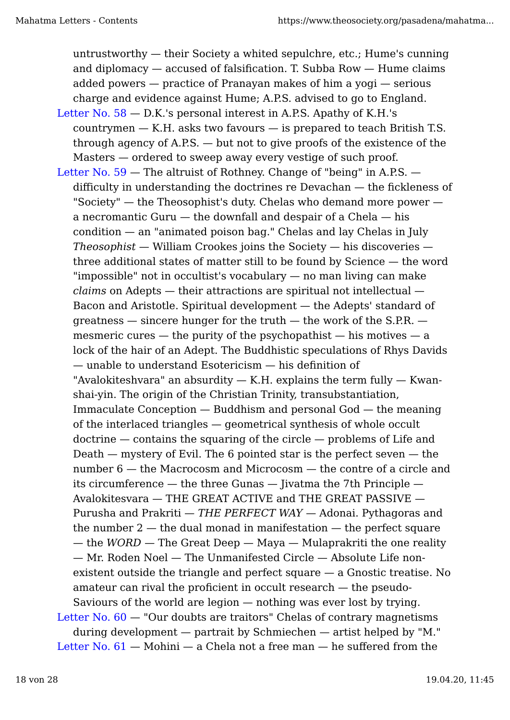untrustworthy — their Society a whited sepulchre, etc.; Hume's cunning and diplomacy — accused of falsification. T. Subba Row — Hume claims added powers — practice of Pranayan makes of him a yogi — serious charge and evidence against Hume; A.P.S. advised to go to England.

- Letter No.  $58 D.K.'s$  personal interest in A.P.S. Apathy of K.H.'s  $countrymen - K.H.$  asks two favours  $-$  is prepared to teach British T.S. through agency of A.P.S. — but not to give proofs of the existence of the Masters — ordered to sweep away every vestige of such proof.
- Letter No. 59 The altruist of Rothney. Change of "being" in A.P.S. difficulty in understanding the doctrines re Devachan — the fickleness of "Society" — the Theosophist's duty. Chelas who demand more power a necromantic Guru — the downfall and despair of a Chela — his condition — an "animated poison bag." Chelas and lay Chelas in July *Theosophist* — William Crookes joins the Society — his discoveries three additional states of matter still to be found by Science — the word "impossible" not in occultist's vocabulary — no man living can make *claims* on Adepts — their attractions are spiritual not intellectual — Bacon and Aristotle. Spiritual development — the Adepts' standard of greatness  $-$  sincere hunger for the truth  $-$  the work of the S.P.R.  $$ mesmeric cures  $-$  the purity of the psychopathist  $-$  his motives  $-$  a lock of the hair of an Adept. The Buddhistic speculations of Rhys Davids — unable to understand Esotericism — his definition of "Avalokiteshvara" an absurdity  $-$  K.H. explains the term fully  $-$  Kwanshai-yin. The origin of the Christian Trinity, transubstantiation, Immaculate Conception — Buddhism and personal God — the meaning of the interlaced triangles — geometrical synthesis of whole occult doctrine — contains the squaring of the circle — problems of Life and Death  $-$  mystery of Evil. The 6 pointed star is the perfect seven  $-$  the number 6 — the Macrocosm and Microcosm — the contre of a circle and its circumference — the three Gunas — Jivatma the 7th Principle — Avalokitesvara — THE GREAT ACTIVE and THE GREAT PASSIVE — Purusha and Prakriti — *THE PERFECT WAY* — Adonai. Pythagoras and the number  $2$  — the dual monad in manifestation — the perfect square — the *WORD* — The Great Deep — Maya — Mulaprakriti the one reality — Mr. Roden Noel — The Unmanifested Circle — Absolute Life nonexistent outside the triangle and perfect square — a Gnostic treatise. No amateur can rival the proficient in occult research — the pseudo-Saviours of the world are legion — nothing was ever lost by trying. Letter No.  $60 -$  "Our doubts are traitors" Chelas of contrary magnetisms during development — partrait by Schmiechen — artist helped by "M." Letter No.  $61$  – Mohini – a Chela not a free man – he suffered from the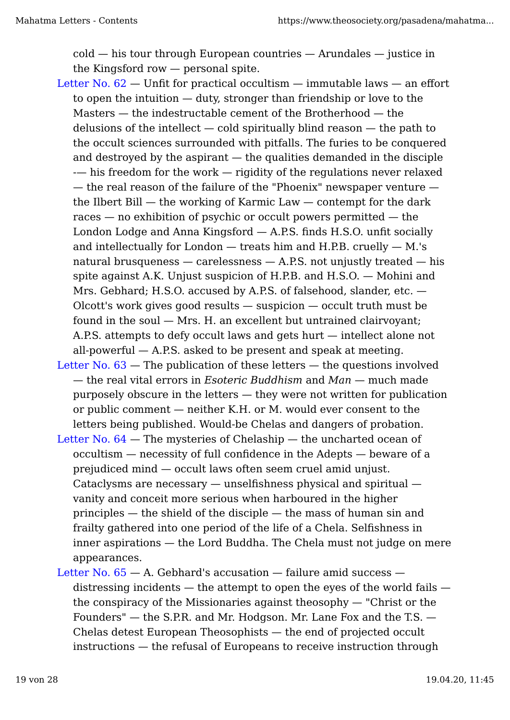cold — his tour through European countries — Arundales — justice in the Kingsford row — personal spite.

- Letter No.  $62$  Unfit for practical occultism immutable laws an effort to open the intuition — duty, stronger than friendship or love to the Masters — the indestructable cement of the Brotherhood — the delusions of the intellect — cold spiritually blind reason — the path to the occult sciences surrounded with pitfalls. The furies to be conquered and destroyed by the aspirant — the qualities demanded in the disciple - his freedom for the work – rigidity of the regulations never relaxed — the real reason of the failure of the "Phoenix" newspaper venture the Ilbert Bill  $-$  the working of Karmic Law  $-$  contempt for the dark races — no exhibition of psychic or occult powers permitted — the London Lodge and Anna Kingsford — A.P.S. finds H.S.O. unfit socially and intellectually for London  $-$  treats him and H.P.B. cruelly  $-$  M.'s natural brusqueness  $-$  carelessness  $-$  A.P.S. not unjustly treated  $-$  his spite against A.K. Unjust suspicion of H.P.B. and H.S.O. — Mohini and Mrs. Gebhard; H.S.O. accused by A.P.S. of falsehood, slander, etc.  $-$ Olcott's work gives good results — suspicion — occult truth must be found in the soul — Mrs. H. an excellent but untrained clairvoyant; A.P.S. attempts to defy occult laws and gets hurt — intellect alone not all-powerful  $-$  A.P.S. asked to be present and speak at meeting.
- Letter No.  $63$  The publication of these letters the questions involved — the real vital errors in *Esoteric Buddhism* and *Man* — much made purposely obscure in the letters — they were not written for publication or public comment — neither K.H. or M. would ever consent to the letters being published. Would-be Chelas and dangers of probation.
- Letter No. 64 The mysteries of Chelaship the uncharted ocean of occultism — necessity of full confidence in the Adepts — beware of a prejudiced mind — occult laws often seem cruel amid unjust. Cataclysms are necessary — unselfishness physical and spiritual vanity and conceit more serious when harboured in the higher principles — the shield of the disciple — the mass of human sin and frailty gathered into one period of the life of a Chela. Selfishness in inner aspirations — the Lord Buddha. The Chela must not judge on mere appearances.
- Letter No.  $65 A$ . Gebhard's accusation  $-$  failure amid success  $$ distressing incidents  $-$  the attempt to open the eyes of the world fails  $$ the conspiracy of the Missionaries against theosophy — "Christ or the Founders" — the S.P.R. and Mr. Hodgson. Mr. Lane Fox and the T.S. — Chelas detest European Theosophists — the end of projected occult instructions — the refusal of Europeans to receive instruction through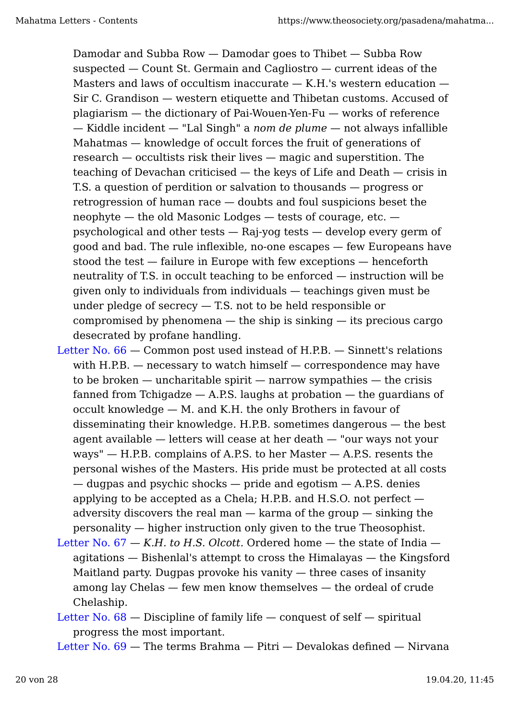Damodar and Subba Row — Damodar goes to Thibet — Subba Row suspected — Count St. Germain and Cagliostro — current ideas of the Masters and laws of occultism inaccurate  $-$  K.H.'s western education  $-$ Sir C. Grandison — western etiquette and Thibetan customs. Accused of plagiarism — the dictionary of Pai-Wouen-Yen-Fu — works of reference — Kiddle incident — "Lal Singh" a *nom de plume* — not always infallible Mahatmas — knowledge of occult forces the fruit of generations of research — occultists risk their lives — magic and superstition. The teaching of Devachan criticised — the keys of Life and Death — crisis in T.S. a question of perdition or salvation to thousands — progress or retrogression of human race — doubts and foul suspicions beset the neophyte — the old Masonic Lodges — tests of courage, etc. psychological and other tests — Raj-yog tests — develop every germ of good and bad. The rule inflexible, no-one escapes — few Europeans have stood the test — failure in Europe with few exceptions — henceforth neutrality of T.S. in occult teaching to be enforced — instruction will be given only to individuals from individuals — teachings given must be under pledge of secrecy  $-$  T.S. not to be held responsible or compromised by phenomena  $-$  the ship is sinking  $-$  its precious cargo desecrated by profane handling.

- Letter No. 66 Common post used instead of H.P.B. Sinnett's relations with H.P.B. — necessary to watch himself — correspondence may have to be broken  $-$  uncharitable spirit  $-$  narrow sympathies  $-$  the crisis fanned from Tchigadze  $-$  A.P.S. laughs at probation  $-$  the guardians of occult knowledge — M. and K.H. the only Brothers in favour of disseminating their knowledge. H.P.B. sometimes dangerous — the best agent available — letters will cease at her death — "our ways not your ways" — H.P.B. complains of A.P.S. to her Master — A.P.S. resents the personal wishes of the Masters. His pride must be protected at all costs — dugpas and psychic shocks — pride and egotism — A.P.S. denies applying to be accepted as a Chela; H.P.B. and H.S.O. not perfect adversity discovers the real man — karma of the group — sinking the personality — higher instruction only given to the true Theosophist.
- Letter No.  $67 K.H.$  *to H.S. Olcott.* Ordered home  $-$  the state of India  $$ agitations — Bishenlal's attempt to cross the Himalayas — the Kingsford Maitland party. Dugpas provoke his vanity — three cases of insanity among lay Chelas — few men know themselves — the ordeal of crude Chelaship.
- Letter No.  $68$  Discipline of family life conquest of self spiritual progress the most important.

Letter No. 69 — The terms Brahma — Pitri — Devalokas defined — Nirvana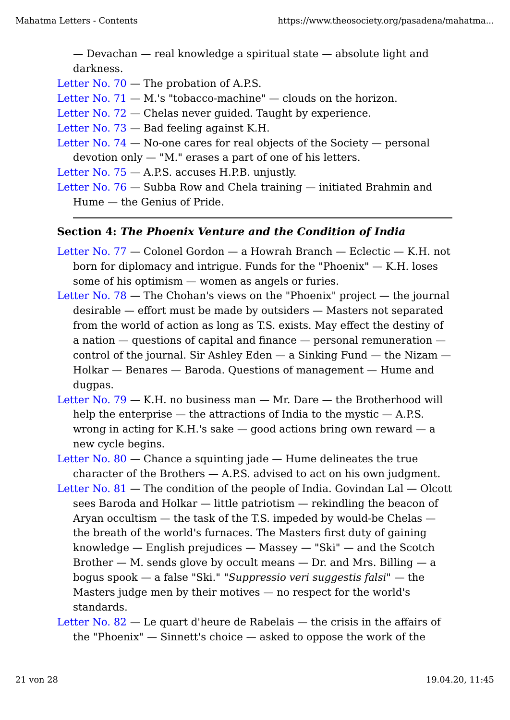— Devachan — real knowledge a spiritual state — absolute light and darkness.

- Letter No. 70 The probation of A.P.S.
- Letter No.  $71 M$ .'s "tobacco-machine"  $-$  clouds on the horizon.
- Letter No. 72 Chelas never guided. Taught by experience.
- Letter No. 73 Bad feeling against K.H.
- Letter No.  $74 -$  No-one cares for real objects of the Society  $-$  personal devotion only — "M." erases a part of one of his letters.
- Letter No.  $75 A.S.$  accuses H.P.B. unjustly.
- Letter No. 76 Subba Row and Chela training initiated Brahmin and Hume — the Genius of Pride.

# **Section 4:** *The Phoenix Venture and the Condition of India*

- Letter No. 77 Colonel Gordon a Howrah Branch Eclectic K.H. not born for diplomacy and intrigue. Funds for the "Phoenix"  $-$  K.H. loses some of his optimism — women as angels or furies.
- Letter No. 78 The Chohan's views on the "Phoenix" project the journal desirable — effort must be made by outsiders — Masters not separated from the world of action as long as T.S. exists. May effect the destiny of a nation — questions of capital and finance — personal remuneration control of the journal. Sir Ashley Eden  $-$  a Sinking Fund  $-$  the Nizam  $-$ Holkar — Benares — Baroda. Questions of management — Hume and dugpas.
- Letter No.  $79 K.H.$  no business man  $Mr.$  Dare  $-$  the Brotherhood will help the enterprise  $-$  the attractions of India to the mystic  $-$  A.P.S. wrong in acting for K.H.'s sake  $-$  good actions bring own reward  $-$  a new cycle begins.
- Letter No.  $80$  Chance a squinting jade Hume delineates the true character of the Brothers  $-$  A.P.S. advised to act on his own judgment.
- Letter No.  $81$  The condition of the people of India. Govindan Lal Olcott sees Baroda and Holkar — little patriotism — rekindling the beacon of Aryan occultism — the task of the T.S. impeded by would-be Chelas the breath of the world's furnaces. The Masters first duty of gaining knowledge — English prejudices — Massey — "Ski" — and the Scotch Brother  $-$  M. sends glove by occult means  $-$  Dr. and Mrs. Billing  $-$  a bogus spook — a false "Ski." *"Suppressio veri suggestis falsi"* — the Masters judge men by their motives — no respect for the world's standards.
- Letter No. 82 Le quart d'heure de Rabelais the crisis in the affairs of the "Phoenix" — Sinnett's choice — asked to oppose the work of the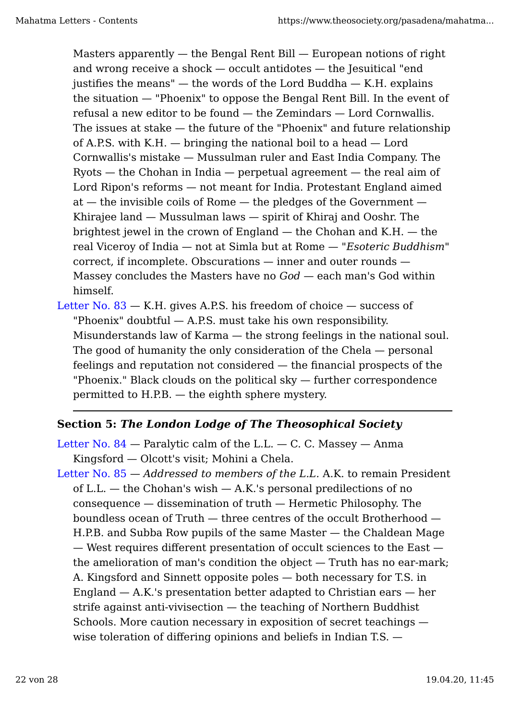Masters apparently  $-$  the Bengal Rent Bill  $-$  European notions of right and wrong receive a shock — occult antidotes — the Jesuitical "end justifies the means"  $-$  the words of the Lord Buddha  $-$  K.H. explains the situation — "Phoenix" to oppose the Bengal Rent Bill. In the event of refusal a new editor to be found — the Zemindars — Lord Cornwallis. The issues at stake — the future of the "Phoenix" and future relationship of A.P.S. with K.H. — bringing the national boil to a head — Lord Cornwallis's mistake — Mussulman ruler and East India Company. The Ryots — the Chohan in India — perpetual agreement — the real aim of Lord Ripon's reforms — not meant for India. Protestant England aimed at — the invisible coils of Rome — the pledges of the Government — Khirajee land — Mussulman laws — spirit of Khiraj and Ooshr. The brightest jewel in the crown of England — the Chohan and K.H. — the real Viceroy of India — not at Simla but at Rome — "*Esoteric Buddhism*" correct, if incomplete. Obscurations — inner and outer rounds — Massey concludes the Masters have no *God* — each man's God within himself.

Letter No. 83 — K.H. gives A.P.S. his freedom of choice — success of "Phoenix" doubtful — A.P.S. must take his own responsibility. Misunderstands law of Karma — the strong feelings in the national soul. The good of humanity the only consideration of the Chela — personal feelings and reputation not considered — the financial prospects of the "Phoenix." Black clouds on the political sky — further correspondence permitted to H.P.B. — the eighth sphere mystery.

# **Section 5:** *The London Lodge of The Theosophical Society*

Letter No.  $84$  — Paralytic calm of the L.L. — C. C. Massey — Anma Kingsford — Olcott's visit; Mohini a Chela.

Letter No. 85 — *Addressed to members of the L.L.* A.K. to remain President of L.L. — the Chohan's wish — A.K.'s personal predilections of no consequence — dissemination of truth — Hermetic Philosophy. The boundless ocean of Truth — three centres of the occult Brotherhood — H.P.B. and Subba Row pupils of the same Master — the Chaldean Mage — West requires different presentation of occult sciences to the East the amelioration of man's condition the object — Truth has no ear-mark; A. Kingsford and Sinnett opposite poles — both necessary for T.S. in England  $-$  A.K.'s presentation better adapted to Christian ears  $-$  her strife against anti-vivisection — the teaching of Northern Buddhist Schools. More caution necessary in exposition of secret teachings wise toleration of differing opinions and beliefs in Indian T.S. —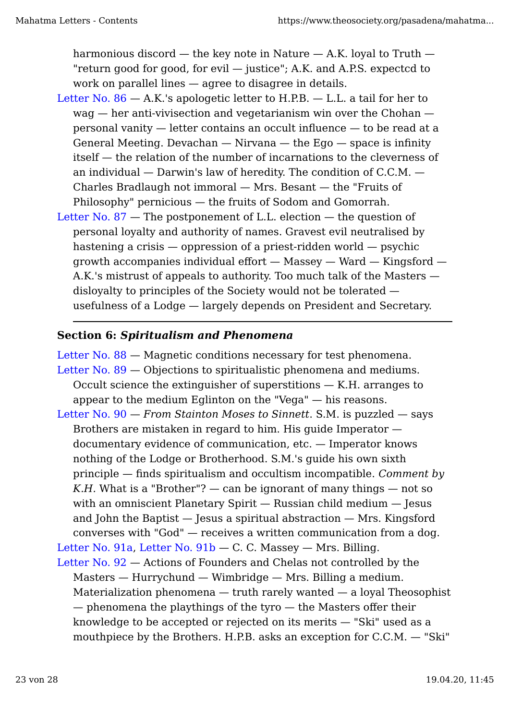harmonious discord  $-$  the key note in Nature  $-$  A.K. loyal to Truth  $-$ "return good for good, for evil — justice"; A.K. and A.P.S. expectcd to work on parallel lines — agree to disagree in details.

- Letter No.  $86 A.K.'s$  apologetic letter to H.P.B.  $L.L.$  a tail for her to wag — her anti-vivisection and vegetarianism win over the Chohan personal vanity — letter contains an occult influence — to be read at a General Meeting. Devachan  $-$  Nirvana  $-$  the Ego  $-$  space is infinity itself — the relation of the number of incarnations to the cleverness of an individual — Darwin's law of heredity. The condition of C.C.M. — Charles Bradlaugh not immoral — Mrs. Besant — the "Fruits of Philosophy" pernicious — the fruits of Sodom and Gomorrah.
- Letter No. 87 The postponement of L.L. election the question of personal loyalty and authority of names. Gravest evil neutralised by hastening a crisis — oppression of a priest-ridden world — psychic growth accompanies individual effort — Massey — Ward — Kingsford — A.K.'s mistrust of appeals to authority. Too much talk of the Masters disloyalty to principles of the Society would not be tolerated usefulness of a Lodge — largely depends on President and Secretary.

# **Section 6:** *Spiritualism and Phenomena*

Letter No. 88 — Magnetic conditions necessary for test phenomena. Letter No. 89 — Objections to spiritualistic phenomena and mediums. Occult science the extinguisher of superstitions — K.H. arranges to appear to the medium Eglinton on the "Vega" — his reasons. Letter No. 90 — *From Stainton Moses to Sinnett*. S.M. is puzzled — says Brothers are mistaken in regard to him. His guide Imperator —

documentary evidence of communication, etc. — Imperator knows nothing of the Lodge or Brotherhood. S.M.'s guide his own sixth principle — finds spiritualism and occultism incompatible. *Comment by K.H.* What is a "Brother"?  $-$  can be ignorant of many things  $-$  not so with an omniscient Planetary Spirit — Russian child medium — Jesus and John the Baptist — Jesus a spiritual abstraction — Mrs. Kingsford converses with "God" — receives a written communication from a dog. Letter No. 91a, Letter No. 91b — C. C. Massey — Mrs. Billing.

Letter No. 92 — Actions of Founders and Chelas not controlled by the Masters — Hurrychund — Wimbridge — Mrs. Billing a medium. Materialization phenomena — truth rarely wanted — a loyal Theosophist — phenomena the playthings of the tyro — the Masters offer their knowledge to be accepted or rejected on its merits — "Ski" used as a mouthpiece by the Brothers. H.P.B. asks an exception for C.C.M. — "Ski"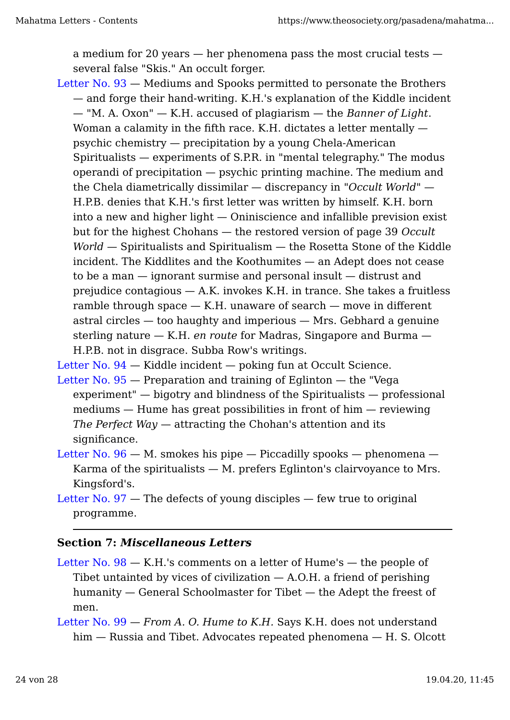a medium for 20 years — her phenomena pass the most crucial tests several false "Skis." An occult forger.

Letter No. 93 — Mediums and Spooks permitted to personate the Brothers — and forge their hand-writing. K.H.'s explanation of the Kiddle incident — "M. A. Oxon" — K.H. accused of plagiarism — the *Banner of Light*. Woman a calamity in the fifth race. K.H. dictates a letter mentally  $$ psychic chemistry — precipitation by a young Chela-American Spiritualists — experiments of S.P.R. in "mental telegraphy." The modus operandi of precipitation — psychic printing machine. The medium and the Chela diametrically dissimilar — discrepancy in *"Occult World"* — H.P.B. denies that K.H.'s first letter was written by himself. K.H. born into a new and higher light — Oniniscience and infallible prevision exist but for the highest Chohans — the restored version of page 39 *Occult World* — Spiritualists and Spiritualism — the Rosetta Stone of the Kiddle incident. The Kiddlites and the Koothumites — an Adept does not cease to be a man — ignorant surmise and personal insult — distrust and prejudice contagious  $-$  A.K. invokes K.H. in trance. She takes a fruitless ramble through space  $-$  K.H. unaware of search  $-$  move in different astral circles — too haughty and imperious — Mrs. Gebhard a genuine sterling nature — K.H. *en route* for Madras, Singapore and Burma — H.P.B. not in disgrace. Subba Row's writings.

Letter No. 94 – Kiddle incident – poking fun at Occult Science.

- Letter No.  $95$  Preparation and training of Eglinton the "Vega experiment" — bigotry and blindness of the Spiritualists — professional mediums — Hume has great possibilities in front of him — reviewing *The Perfect Way* — attracting the Chohan's attention and its significance.
- Letter No.  $96 M$ . smokes his pipe  $-$  Piccadilly spooks  $-$  phenomena  $-$ Karma of the spiritualists  $-$  M. prefers Eglinton's clairvoyance to Mrs. Kingsford's.
- Letter No.  $97$  The defects of young disciples few true to original programme.

## **Section 7:** *Miscellaneous Letters*

- Letter No.  $98 K.H.'s$  comments on a letter of Hume's  $-$  the people of Tibet untainted by vices of civilization  $-$  A.O.H. a friend of perishing humanity — General Schoolmaster for Tibet — the Adept the freest of men.
- Letter No. 99 *From A. O. Hume to K.H.* Says K.H. does not understand him — Russia and Tibet. Advocates repeated phenomena — H. S. Olcott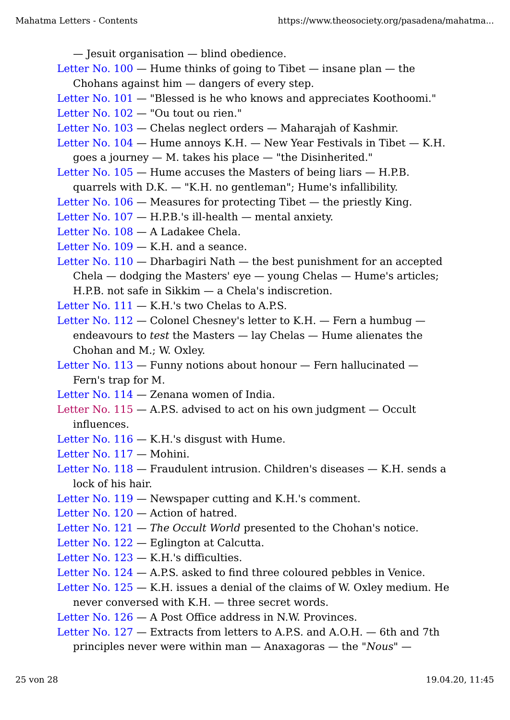— Jesuit organisation — blind obedience.

Letter No.  $100 -$  Hume thinks of going to Tibet  $-$  insane plan  $-$  the Chohans against him — dangers of every step.

- Letter No.  $101 -$  "Blessed is he who knows and appreciates Koothoomi."
- Letter No. 102 "Ou tout ou rien."
- Letter No. 103 Chelas neglect orders Maharajah of Kashmir.
- Letter No.  $104$  Hume annoys K.H. New Year Festivals in Tibet K.H. goes a journey — M. takes his place — "the Disinherited."

Letter No.  $105 -$  Hume accuses the Masters of being liars  $-$  H.P.B.

- quarrels with D.K. "K.H. no gentleman"; Hume's infallibility.
- Letter No.  $106$  Measures for protecting Tibet the priestly King.
- Letter No.  $107 H.P.B.'s$  ill-health  $-$  mental anxiety.
- Letter No. 108 A Ladakee Chela.
- Letter No. 109 K.H. and a seance.
- Letter No.  $110 -$  Dharbagiri Nath  $-$  the best punishment for an accepted  $Chela - dodging the Masters' eye - young Chelas - Hume's articles;$ H.P.B. not safe in Sikkim — a Chela's indiscretion.
- Letter No.  $111 K.H.'s$  two Chelas to A.P.S.
- Letter No. 112 Colonel Chesney's letter to K.H. Fern a humbug endeavours to *test* the Masters — lay Chelas — Hume alienates the Chohan and M.; W. Oxley.
- Letter No. 113 Funny notions about honour Fern hallucinated Fern's trap for M.
- Letter No. 114 Zenana women of India.
- Letter No.  $115 A.S.$  advised to act on his own judgment  $-$  Occult influences.
- Letter No. 116 K.H.'s disgust with Hume.
- Letter No. 117 Mohini.
- Letter No. 118 Fraudulent intrusion. Children's diseases K.H. sends a lock of his hair.
- Letter No. 119 Newspaper cutting and K.H.'s comment.
- Letter No. 120 Action of hatred.
- Letter No. 121 *The Occult World* presented to the Chohan's notice.
- Letter No. 122 Eglington at Calcutta.
- Letter No. 123 K.H.'s difficulties.
- Letter No. 124 A.P.S. asked to find three coloured pebbles in Venice.
- Letter No.  $125 K.H.$  issues a denial of the claims of W. Oxley medium. He never conversed with K.H. — three secret words.
- Letter No. 126 A Post Office address in N.W. Provinces.
- Letter No. 127 Extracts from letters to A.P.S. and A.O.H. 6th and 7th principles never were within man — Anaxagoras — the "*Nous*" —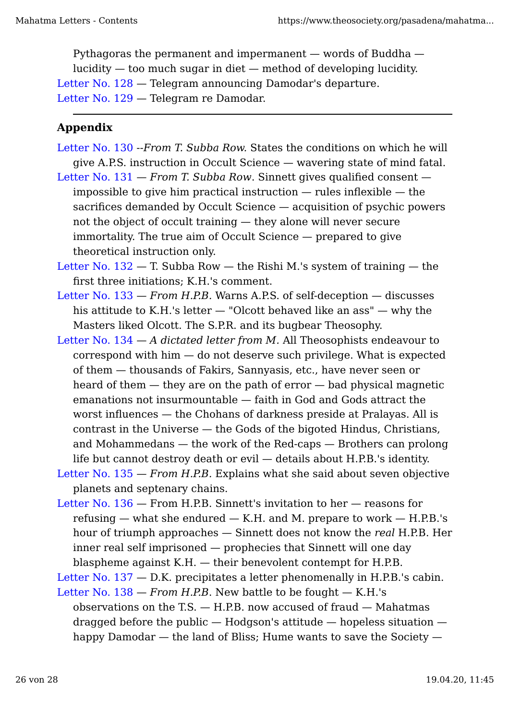Pythagoras the permanent and impermanent — words of Buddha lucidity — too much sugar in diet — method of developing lucidity. Letter No. 128 — Telegram announcing Damodar's departure. Letter No. 129 — Telegram re Damodar.

# **Appendix**

- Letter No. 130 --*From T. Subba Row.* States the conditions on which he will give A.P.S. instruction in Occult Science — wavering state of mind fatal.
- Letter No. 131 *From T. Subba Row*. Sinnett gives qualified consent impossible to give him practical instruction  $-$  rules inflexible  $-$  the sacrifices demanded by Occult Science — acquisition of psychic powers not the object of occult training — they alone will never secure immortality. The true aim of Occult Science — prepared to give theoretical instruction only.

Letter No.  $132 - T$ . Subba Row  $-$  the Rishi M.'s system of training  $-$  the first three initiations; K.H.'s comment.

- Letter No. 133 *From H.P.B.* Warns A.P.S. of self-deception discusses his attitude to K.H.'s letter — "Olcott behaved like an ass" — why the Masters liked Olcott. The S.P.R. and its bugbear Theosophy.
- Letter No. 134 *A dictated letter from M.* All Theosophists endeavour to correspond with him — do not deserve such privilege. What is expected of them — thousands of Fakirs, Sannyasis, etc., have never seen or heard of them — they are on the path of error — bad physical magnetic emanations not insurmountable — faith in God and Gods attract the worst influences — the Chohans of darkness preside at Pralayas. All is contrast in the Universe — the Gods of the bigoted Hindus, Christians, and Mohammedans — the work of the Red-caps — Brothers can prolong life but cannot destroy death or evil — details about H.P.B.'s identity.
- Letter No. 135 *From H.P.B.* Explains what she said about seven objective planets and septenary chains.
- Letter No. 136 From H.P.B. Sinnett's invitation to her reasons for refusing — what she endured — K.H. and M. prepare to work — H.P.B.'s hour of triumph approaches — Sinnett does not know the *real* H.P.B. Her inner real self imprisoned — prophecies that Sinnett will one day blaspheme against K.H. — their benevolent contempt for H.P.B.

Letter No. 137 – D.K. precipitates a letter phenomenally in H.P.B.'s cabin.

Letter No.  $138$  – *From H.P.B.* New battle to be fought – K.H.'s observations on the T.S.  $-$  H.P.B. now accused of fraud  $-$  Mahatmas dragged before the public  $-$  Hodgson's attitude  $-$  hopeless situation  $$ happy Damodar — the land of Bliss; Hume wants to save the Society —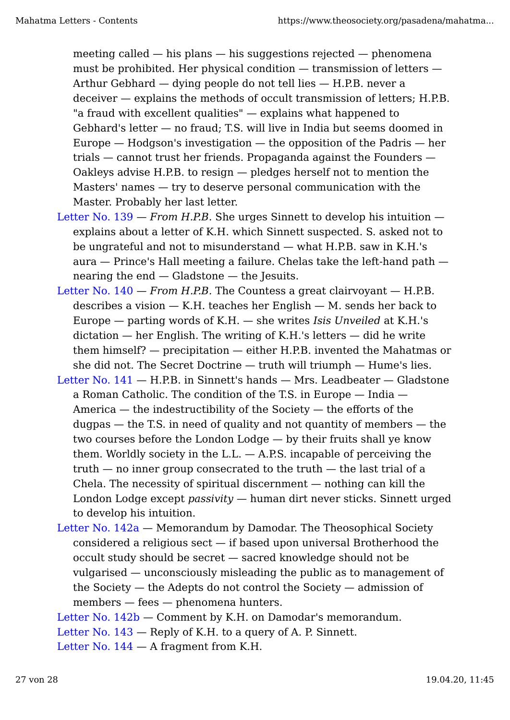meeting called — his plans — his suggestions rejected — phenomena must be prohibited. Her physical condition — transmission of letters — Arthur Gebhard — dying people do not tell lies — H.P.B. never a deceiver — explains the methods of occult transmission of letters; H.P.B. "a fraud with excellent qualities" — explains what happened to Gebhard's letter — no fraud; T.S. will live in India but seems doomed in Europe  $-$  Hodgson's investigation  $-$  the opposition of the Padris  $-$  her trials — cannot trust her friends. Propaganda against the Founders — Oakleys advise H.P.B. to resign — pledges herself not to mention the Masters' names — try to deserve personal communication with the Master. Probably her last letter.

- Letter No.  $139$  *From H.P.B.* She urges Sinnett to develop his intuition explains about a letter of K.H. which Sinnett suspected. S. asked not to be ungrateful and not to misunderstand — what H.P.B. saw in K.H.'s aura — Prince's Hall meeting a failure. Chelas take the left-hand path nearing the end — Gladstone — the Jesuits.
- Letter No. 140 *From H.P.B.* The Countess a great clairvoyant H.P.B. describes a vision  $-$  K.H. teaches her English  $-$  M. sends her back to Europe — parting words of K.H. — she writes *Isis Unveiled* at K.H.'s  $dictation$  — her English. The writing of K.H.'s letters — did he write them himself? — precipitation — either H.P.B. invented the Mahatmas or she did not. The Secret Doctrine — truth will triumph — Hume's lies.
- Letter No. 141 H.P.B. in Sinnett's hands Mrs. Leadbeater Gladstone a Roman Catholic. The condition of the T.S. in Europe — India — America — the indestructibility of the Society — the efforts of the dugpas — the T.S. in need of quality and not quantity of members — the two courses before the London Lodge — by their fruits shall ye know them. Worldly society in the  $L.L. - A.P.S.$  incapable of perceiving the  $truth$  — no inner group consecrated to the truth — the last trial of a Chela. The necessity of spiritual discernment — nothing can kill the London Lodge except *passivity* — human dirt never sticks. Sinnett urged to develop his intuition.
- Letter No. 142a Memorandum by Damodar. The Theosophical Society considered a religious sect — if based upon universal Brotherhood the occult study should be secret — sacred knowledge should not be vulgarised — unconsciously misleading the public as to management of the Society — the Adepts do not control the Society — admission of members — fees — phenomena hunters.
- Letter No. 142b Comment by K.H. on Damodar's memorandum.

Letter No. 143 — Reply of K.H. to a query of A. P. Sinnett.

Letter No.  $144 - A$  fragment from K.H.